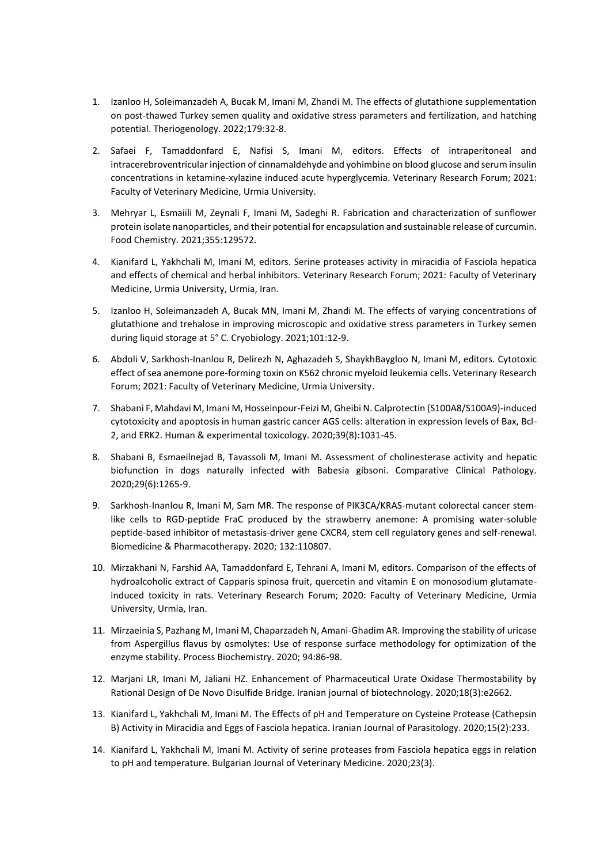- 1. Izanloo H, Soleimanzadeh A, Bucak M, Imani M, Zhandi M. The effects of glutathione supplementation on post-thawed Turkey semen quality and oxidative stress parameters and fertilization, and hatching potential. Theriogenology. 2022;179:32-8.
- 2. Safaei F, Tamaddonfard E, Nafisi S, Imani M, editors. Effects of intraperitoneal and intracerebroventricular injection of cinnamaldehyde and yohimbine on blood glucose and serum insulin concentrations in ketamine-xylazine induced acute hyperglycemia. Veterinary Research Forum; 2021: Faculty of Veterinary Medicine, Urmia University.
- 3. Mehryar L, Esmaiili M, Zeynali F, Imani M, Sadeghi R. Fabrication and characterization of sunflower protein isolate nanoparticles, and their potential for encapsulation and sustainable release of curcumin. Food Chemistry. 2021;355:129572.
- 4. Kianifard L, Yakhchali M, Imani M, editors. Serine proteases activity in miracidia of Fasciola hepatica and effects of chemical and herbal inhibitors. Veterinary Research Forum; 2021: Faculty of Veterinary Medicine, Urmia University, Urmia, Iran.
- 5. Izanloo H, Soleimanzadeh A, Bucak MN, Imani M, Zhandi M. The effects of varying concentrations of glutathione and trehalose in improving microscopic and oxidative stress parameters in Turkey semen during liquid storage at 5° C. Cryobiology. 2021;101:12-9.
- 6. Abdoli V, Sarkhosh-Inanlou R, Delirezh N, Aghazadeh S, ShaykhBaygloo N, Imani M, editors. Cytotoxic effect of sea anemone pore-forming toxin on K562 chronic myeloid leukemia cells. Veterinary Research Forum; 2021: Faculty of Veterinary Medicine, Urmia University.
- 7. Shabani F, Mahdavi M, Imani M, Hosseinpour-Feizi M, Gheibi N. Calprotectin (S100A8/S100A9)-induced cytotoxicity and apoptosis in human gastric cancer AGS cells: alteration in expression levels of Bax, Bcl-2, and ERK2. Human & experimental toxicology. 2020;39(8):1031-45.
- 8. Shabani B, Esmaeilnejad B, Tavassoli M, Imani M. Assessment of cholinesterase activity and hepatic biofunction in dogs naturally infected with Babesia gibsoni. Comparative Clinical Pathology. 2020;29(6):1265-9.
- 9. Sarkhosh-Inanlou R, Imani M, Sam MR. The response of PIK3CA/KRAS-mutant colorectal cancer stemlike cells to RGD-peptide FraC produced by the strawberry anemone: A promising water-soluble peptide-based inhibitor of metastasis-driver gene CXCR4, stem cell regulatory genes and self-renewal. Biomedicine & Pharmacotherapy. 2020; 132:110807.
- 10. Mirzakhani N, Farshid AA, Tamaddonfard E, Tehrani A, Imani M, editors. Comparison of the effects of hydroalcoholic extract of Capparis spinosa fruit, quercetin and vitamin E on monosodium glutamateinduced toxicity in rats. Veterinary Research Forum; 2020: Faculty of Veterinary Medicine, Urmia University, Urmia, Iran.
- 11. Mirzaeinia S, Pazhang M, Imani M, Chaparzadeh N, Amani-Ghadim AR. Improving the stability of uricase from Aspergillus flavus by osmolytes: Use of response surface methodology for optimization of the enzyme stability. Process Biochemistry. 2020; 94:86-98.
- 12. Marjani LR, Imani M, Jaliani HZ. Enhancement of Pharmaceutical Urate Oxidase Thermostability by Rational Design of De Novo Disulfide Bridge. Iranian journal of biotechnology. 2020;18(3):e2662.
- 13. Kianifard L, Yakhchali M, Imani M. The Effects of pH and Temperature on Cysteine Protease (Cathepsin B) Activity in Miracidia and Eggs of Fasciola hepatica. Iranian Journal of Parasitology. 2020;15(2):233.
- 14. Kianifard L, Yakhchali M, Imani M. Activity of serine proteases from Fasciola hepatica eggs in relation to pH and temperature. Bulgarian Journal of Veterinary Medicine. 2020;23(3).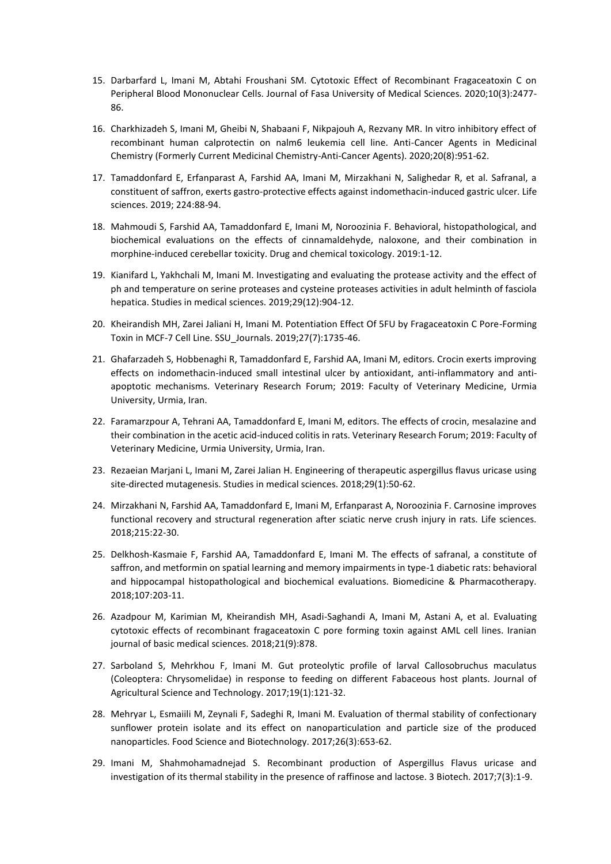- 15. Darbarfard L, Imani M, Abtahi Froushani SM. Cytotoxic Effect of Recombinant Fragaceatoxin C on Peripheral Blood Mononuclear Cells. Journal of Fasa University of Medical Sciences. 2020;10(3):2477- 86.
- 16. Charkhizadeh S, Imani M, Gheibi N, Shabaani F, Nikpajouh A, Rezvany MR. In vitro inhibitory effect of recombinant human calprotectin on nalm6 leukemia cell line. Anti-Cancer Agents in Medicinal Chemistry (Formerly Current Medicinal Chemistry-Anti-Cancer Agents). 2020;20(8):951-62.
- 17. Tamaddonfard E, Erfanparast A, Farshid AA, Imani M, Mirzakhani N, Salighedar R, et al. Safranal, a constituent of saffron, exerts gastro-protective effects against indomethacin-induced gastric ulcer. Life sciences. 2019; 224:88-94.
- 18. Mahmoudi S, Farshid AA, Tamaddonfard E, Imani M, Noroozinia F. Behavioral, histopathological, and biochemical evaluations on the effects of cinnamaldehyde, naloxone, and their combination in morphine-induced cerebellar toxicity. Drug and chemical toxicology. 2019:1-12.
- 19. Kianifard L, Yakhchali M, Imani M. Investigating and evaluating the protease activity and the effect of ph and temperature on serine proteases and cysteine proteases activities in adult helminth of fasciola hepatica. Studies in medical sciences. 2019;29(12):904-12.
- 20. Kheirandish MH, Zarei Jaliani H, Imani M. Potentiation Effect Of 5FU by Fragaceatoxin C Pore-Forming Toxin in MCF-7 Cell Line. SSU\_Journals. 2019;27(7):1735-46.
- 21. Ghafarzadeh S, Hobbenaghi R, Tamaddonfard E, Farshid AA, Imani M, editors. Crocin exerts improving effects on indomethacin-induced small intestinal ulcer by antioxidant, anti-inflammatory and antiapoptotic mechanisms. Veterinary Research Forum; 2019: Faculty of Veterinary Medicine, Urmia University, Urmia, Iran.
- 22. Faramarzpour A, Tehrani AA, Tamaddonfard E, Imani M, editors. The effects of crocin, mesalazine and their combination in the acetic acid-induced colitis in rats. Veterinary Research Forum; 2019: Faculty of Veterinary Medicine, Urmia University, Urmia, Iran.
- 23. Rezaeian Marjani L, Imani M, Zarei Jalian H. Engineering of therapeutic aspergillus flavus uricase using site-directed mutagenesis. Studies in medical sciences. 2018;29(1):50-62.
- 24. Mirzakhani N, Farshid AA, Tamaddonfard E, Imani M, Erfanparast A, Noroozinia F. Carnosine improves functional recovery and structural regeneration after sciatic nerve crush injury in rats. Life sciences. 2018;215:22-30.
- 25. Delkhosh-Kasmaie F, Farshid AA, Tamaddonfard E, Imani M. The effects of safranal, a constitute of saffron, and metformin on spatial learning and memory impairments in type-1 diabetic rats: behavioral and hippocampal histopathological and biochemical evaluations. Biomedicine & Pharmacotherapy. 2018;107:203-11.
- 26. Azadpour M, Karimian M, Kheirandish MH, Asadi-Saghandi A, Imani M, Astani A, et al. Evaluating cytotoxic effects of recombinant fragaceatoxin C pore forming toxin against AML cell lines. Iranian journal of basic medical sciences. 2018;21(9):878.
- 27. Sarboland S, Mehrkhou F, Imani M. Gut proteolytic profile of larval Callosobruchus maculatus (Coleoptera: Chrysomelidae) in response to feeding on different Fabaceous host plants. Journal of Agricultural Science and Technology. 2017;19(1):121-32.
- 28. Mehryar L, Esmaiili M, Zeynali F, Sadeghi R, Imani M. Evaluation of thermal stability of confectionary sunflower protein isolate and its effect on nanoparticulation and particle size of the produced nanoparticles. Food Science and Biotechnology. 2017;26(3):653-62.
- 29. Imani M, Shahmohamadnejad S. Recombinant production of Aspergillus Flavus uricase and investigation of its thermal stability in the presence of raffinose and lactose. 3 Biotech. 2017;7(3):1-9.